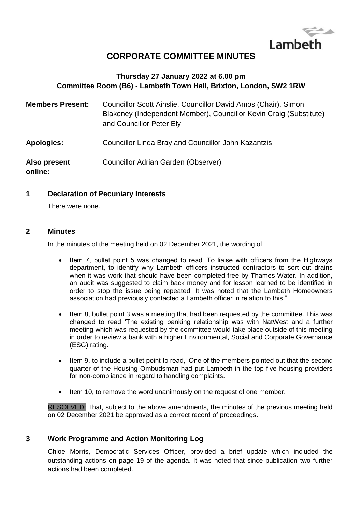

# **CORPORATE COMMITTEE MINUTES**

## **Thursday 27 January 2022 at 6.00 pm Committee Room (B6) - Lambeth Town Hall, Brixton, London, SW2 1RW**

| <b>Members Present:</b> | Councillor Scott Ainslie, Councillor David Amos (Chair), Simon<br>Blakeney (Independent Member), Councillor Kevin Craig (Substitute)<br>and Councillor Peter Ely |
|-------------------------|------------------------------------------------------------------------------------------------------------------------------------------------------------------|
| <b>Apologies:</b>       | Councillor Linda Bray and Councillor John Kazantzis                                                                                                              |
| Also present<br>online: | Councillor Adrian Garden (Observer)                                                                                                                              |

#### **1 Declaration of Pecuniary Interests**

There were none.

#### **2 Minutes**

In the minutes of the meeting held on 02 December 2021, the wording of;

- Item 7, bullet point 5 was changed to read 'To liaise with officers from the Highways department, to identify why Lambeth officers instructed contractors to sort out drains when it was work that should have been completed free by Thames Water. In addition, an audit was suggested to claim back money and for lesson learned to be identified in order to stop the issue being repeated. It was noted that the Lambeth Homeowners association had previously contacted a Lambeth officer in relation to this."
- Item 8, bullet point 3 was a meeting that had been requested by the committee. This was changed to read 'The existing banking relationship was with NatWest and a further meeting which was requested by the committee would take place outside of this meeting in order to review a bank with a higher Environmental, Social and Corporate Governance (ESG) rating.
- Item 9, to include a bullet point to read, 'One of the members pointed out that the second quarter of the Housing Ombudsman had put Lambeth in the top five housing providers for non-compliance in regard to handling complaints.
- Item 10, to remove the word unanimously on the request of one member.

RESOLVED: That, subject to the above amendments, the minutes of the previous meeting held on 02 December 2021 be approved as a correct record of proceedings.

## **3 Work Programme and Action Monitoring Log**

Chloe Morris, Democratic Services Officer, provided a brief update which included the outstanding actions on page 19 of the agenda. It was noted that since publication two further actions had been completed.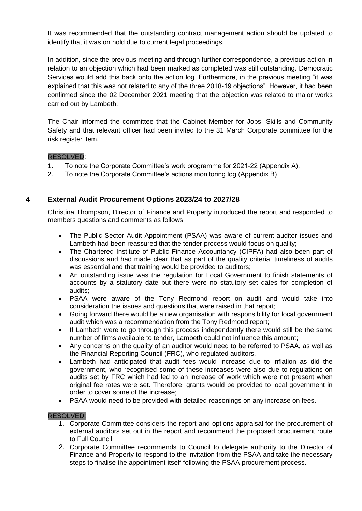It was recommended that the outstanding contract management action should be updated to identify that it was on hold due to current legal proceedings.

In addition, since the previous meeting and through further correspondence, a previous action in relation to an objection which had been marked as completed was still outstanding. Democratic Services would add this back onto the action log. Furthermore, in the previous meeting "it was explained that this was not related to any of the three 2018-19 objections". However, it had been confirmed since the 02 December 2021 meeting that the objection was related to major works carried out by Lambeth.

The Chair informed the committee that the Cabinet Member for Jobs, Skills and Community Safety and that relevant officer had been invited to the 31 March Corporate committee for the risk register item.

#### RESOLVED:

- 1. To note the Corporate Committee's work programme for 2021-22 (Appendix A).
- 2. To note the Corporate Committee's actions monitoring log (Appendix B).

## **4 External Audit Procurement Options 2023/24 to 2027/28**

Christina Thompson, Director of Finance and Property introduced the report and responded to members questions and comments as follows:

- The Public Sector Audit Appointment (PSAA) was aware of current auditor issues and Lambeth had been reassured that the tender process would focus on quality;
- The Chartered Institute of Public Finance Accountancy (CIPFA) had also been part of discussions and had made clear that as part of the quality criteria, timeliness of audits was essential and that training would be provided to auditors;
- An outstanding issue was the regulation for Local Government to finish statements of accounts by a statutory date but there were no statutory set dates for completion of audits;
- PSAA were aware of the Tony Redmond report on audit and would take into consideration the issues and questions that were raised in that report;
- Going forward there would be a new organisation with responsibility for local government audit which was a recommendation from the Tony Redmond report;
- If Lambeth were to go through this process independently there would still be the same number of firms available to tender, Lambeth could not influence this amount;
- Any concerns on the quality of an auditor would need to be referred to PSAA, as well as the Financial Reporting Council (FRC), who regulated auditors.
- Lambeth had anticipated that audit fees would increase due to inflation as did the government, who recognised some of these increases were also due to regulations on audits set by FRC which had led to an increase of work which were not present when original fee rates were set. Therefore, grants would be provided to local government in order to cover some of the increase;
- PSAA would need to be provided with detailed reasonings on any increase on fees.

#### RESOLVED:

- 1. Corporate Committee considers the report and options appraisal for the procurement of external auditors set out in the report and recommend the proposed procurement route to Full Council.
- 2. Corporate Committee recommends to Council to delegate authority to the Director of Finance and Property to respond to the invitation from the PSAA and take the necessary steps to finalise the appointment itself following the PSAA procurement process.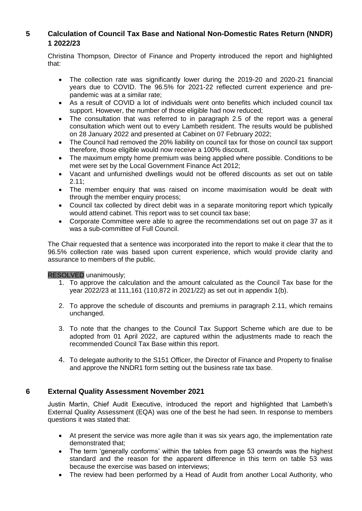## **5 Calculation of Council Tax Base and National Non-Domestic Rates Return (NNDR) 1 2022/23**

Christina Thompson, Director of Finance and Property introduced the report and highlighted that:

- The collection rate was significantly lower during the 2019-20 and 2020-21 financial years due to COVID. The 96.5% for 2021-22 reflected current experience and prepandemic was at a similar rate;
- As a result of COVID a lot of individuals went onto benefits which included council tax support. However, the number of those eligible had now reduced;
- The consultation that was referred to in paragraph 2.5 of the report was a general consultation which went out to every Lambeth resident. The results would be published on 28 January 2022 and presented at Cabinet on 07 February 2022;
- The Council had removed the 20% liability on council tax for those on council tax support therefore, those eligible would now receive a 100% discount.
- The maximum empty home premium was being applied where possible. Conditions to be met were set by the Local Government Finance Act 2012;
- Vacant and unfurnished dwellings would not be offered discounts as set out on table 2.11;
- The member enquiry that was raised on income maximisation would be dealt with through the member enquiry process;
- Council tax collected by direct debit was in a separate monitoring report which typically would attend cabinet. This report was to set council tax base;
- Corporate Committee were able to agree the recommendations set out on page 37 as it was a sub-committee of Full Council.

The Chair requested that a sentence was incorporated into the report to make it clear that the to 96.5% collection rate was based upon current experience, which would provide clarity and assurance to members of the public.

RESOLVED unanimously;

- 1. To approve the calculation and the amount calculated as the Council Tax base for the year 2022/23 at 111,161 (110,872 in 2021/22) as set out in appendix 1(b).
- 2. To approve the schedule of discounts and premiums in paragraph 2.11, which remains unchanged.
- 3. To note that the changes to the Council Tax Support Scheme which are due to be adopted from 01 April 2022, are captured within the adjustments made to reach the recommended Council Tax Base within this report.
- 4. To delegate authority to the S151 Officer, the Director of Finance and Property to finalise and approve the NNDR1 form setting out the business rate tax base.

## **6 External Quality Assessment November 2021**

Justin Martin, Chief Audit Executive, introduced the report and highlighted that Lambeth's External Quality Assessment (EQA) was one of the best he had seen. In response to members questions it was stated that:

- At present the service was more agile than it was six years ago, the implementation rate demonstrated that;
- The term 'generally conforms' within the tables from page 53 onwards was the highest standard and the reason for the apparent difference in this term on table 53 was because the exercise was based on interviews;
- The review had been performed by a Head of Audit from another Local Authority, who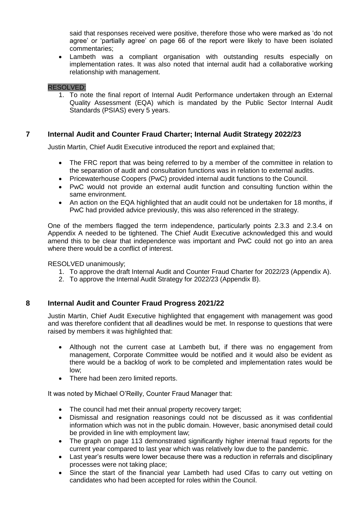said that responses received were positive, therefore those who were marked as 'do not agree' or 'partially agree' on page 66 of the report were likely to have been isolated commentaries;

 Lambeth was a compliant organisation with outstanding results especially on implementation rates. It was also noted that internal audit had a collaborative working relationship with management.

#### RESOLVED:

1. To note the final report of Internal Audit Performance undertaken through an External Quality Assessment (EQA) which is mandated by the Public Sector Internal Audit Standards (PSIAS) every 5 years.

## **7 Internal Audit and Counter Fraud Charter; Internal Audit Strategy 2022/23**

Justin Martin, Chief Audit Executive introduced the report and explained that;

- The FRC report that was being referred to by a member of the committee in relation to the separation of audit and consultation functions was in relation to external audits.
- Pricewaterhouse Coopers (PwC) provided internal audit functions to the Council.
- PwC would not provide an external audit function and consulting function within the same environment.
- An action on the EQA highlighted that an audit could not be undertaken for 18 months, if PwC had provided advice previously, this was also referenced in the strategy.

One of the members flagged the term independence, particularly points 2.3.3 and 2.3.4 on Appendix A needed to be tightened. The Chief Audit Executive acknowledged this and would amend this to be clear that independence was important and PwC could not go into an area where there would be a conflict of interest.

RESOLVED unanimously;

- 1. To approve the draft Internal Audit and Counter Fraud Charter for 2022/23 (Appendix A).
- 2. To approve the Internal Audit Strategy for 2022/23 (Appendix B).

#### **8 Internal Audit and Counter Fraud Progress 2021/22**

Justin Martin, Chief Audit Executive highlighted that engagement with management was good and was therefore confident that all deadlines would be met. In response to questions that were raised by members it was highlighted that:

- Although not the current case at Lambeth but, if there was no engagement from management, Corporate Committee would be notified and it would also be evident as there would be a backlog of work to be completed and implementation rates would be low;
- There had been zero limited reports.

It was noted by Michael O'Reilly, Counter Fraud Manager that:

- The council had met their annual property recovery target;
- Dismissal and resignation reasonings could not be discussed as it was confidential information which was not in the public domain. However, basic anonymised detail could be provided in line with employment law;
- The graph on page 113 demonstrated significantly higher internal fraud reports for the current year compared to last year which was relatively low due to the pandemic.
- Last year's results were lower because there was a reduction in referrals and disciplinary processes were not taking place;
- Since the start of the financial year Lambeth had used Cifas to carry out vetting on candidates who had been accepted for roles within the Council.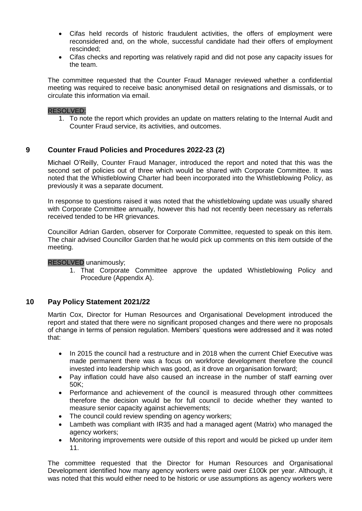- Cifas held records of historic fraudulent activities, the offers of employment were reconsidered and, on the whole, successful candidate had their offers of employment rescinded;
- Cifas checks and reporting was relatively rapid and did not pose any capacity issues for the team.

The committee requested that the Counter Fraud Manager reviewed whether a confidential meeting was required to receive basic anonymised detail on resignations and dismissals, or to circulate this information via email.

#### RESOLVED:

1. To note the report which provides an update on matters relating to the Internal Audit and Counter Fraud service, its activities, and outcomes.

## **9 Counter Fraud Policies and Procedures 2022-23 (2)**

Michael O'Reilly, Counter Fraud Manager, introduced the report and noted that this was the second set of policies out of three which would be shared with Corporate Committee. It was noted that the Whistleblowing Charter had been incorporated into the Whistleblowing Policy, as previously it was a separate document.

In response to questions raised it was noted that the whistleblowing update was usually shared with Corporate Committee annually, however this had not recently been necessary as referrals received tended to be HR grievances.

Councillor Adrian Garden, observer for Corporate Committee, requested to speak on this item. The chair advised Councillor Garden that he would pick up comments on this item outside of the meeting.

#### RESOLVED unanimously;

1. That Corporate Committee approve the updated Whistleblowing Policy and Procedure (Appendix A).

#### **10 Pay Policy Statement 2021/22**

Martin Cox, Director for Human Resources and Organisational Development introduced the report and stated that there were no significant proposed changes and there were no proposals of change in terms of pension regulation. Members' questions were addressed and it was noted that:

- In 2015 the council had a restructure and in 2018 when the current Chief Executive was made permanent there was a focus on workforce development therefore the council invested into leadership which was good, as it drove an organisation forward;
- Pay inflation could have also caused an increase in the number of staff earning over 50K;
- Performance and achievement of the council is measured through other committees therefore the decision would be for full council to decide whether they wanted to measure senior capacity against achievements;
- The council could review spending on agency workers;
- Lambeth was compliant with IR35 and had a managed agent (Matrix) who managed the agency workers;
- Monitoring improvements were outside of this report and would be picked up under item 11.

The committee requested that the Director for Human Resources and Organisational Development identified how many agency workers were paid over £100k per year. Although, it was noted that this would either need to be historic or use assumptions as agency workers were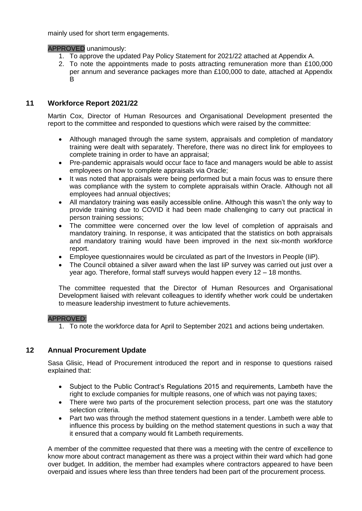mainly used for short term engagements.

APPROVED unanimously:

- 1. To approve the updated Pay Policy Statement for 2021/22 attached at Appendix A.
- 2. To note the appointments made to posts attracting remuneration more than £100,000 per annum and severance packages more than £100,000 to date, attached at Appendix B

## **11 Workforce Report 2021/22**

Martin Cox, Director of Human Resources and Organisational Development presented the report to the committee and responded to questions which were raised by the committee:

- Although managed through the same system, appraisals and completion of mandatory training were dealt with separately. Therefore, there was no direct link for employees to complete training in order to have an appraisal;
- Pre-pandemic appraisals would occur face to face and managers would be able to assist employees on how to complete appraisals via Oracle;
- It was noted that appraisals were being performed but a main focus was to ensure there was compliance with the system to complete appraisals within Oracle. Although not all employees had annual objectives;
- All mandatory training was easily accessible online. Although this wasn't the only way to provide training due to COVID it had been made challenging to carry out practical in person training sessions;
- The committee were concerned over the low level of completion of appraisals and mandatory training. In response, it was anticipated that the statistics on both appraisals and mandatory training would have been improved in the next six-month workforce report.
- Employee questionnaires would be circulated as part of the Investors in People (IiP).
- The Council obtained a silver award when the last IiP survey was carried out just over a year ago. Therefore, formal staff surveys would happen every 12 – 18 months.

The committee requested that the Director of Human Resources and Organisational Development liaised with relevant colleagues to identify whether work could be undertaken to measure leadership investment to future achievements.

#### APPROVED:

1. To note the workforce data for April to September 2021 and actions being undertaken.

## **12 Annual Procurement Update**

Sasa Glisic, Head of Procurement introduced the report and in response to questions raised explained that:

- Subject to the Public Contract's Regulations 2015 and requirements, Lambeth have the right to exclude companies for multiple reasons, one of which was not paying taxes;
- There were two parts of the procurement selection process, part one was the statutory selection criteria.
- Part two was through the method statement questions in a tender. Lambeth were able to influence this process by building on the method statement questions in such a way that it ensured that a company would fit Lambeth requirements.

A member of the committee requested that there was a meeting with the centre of excellence to know more about contract management as there was a project within their ward which had gone over budget. In addition, the member had examples where contractors appeared to have been overpaid and issues where less than three tenders had been part of the procurement process.